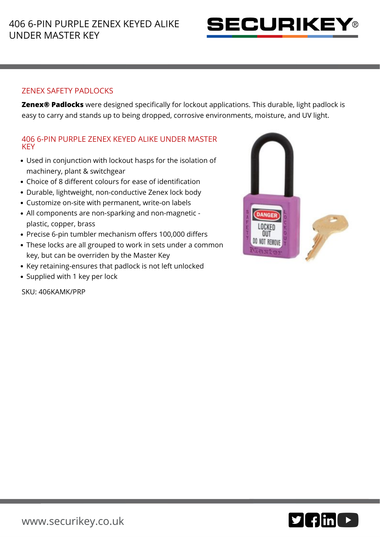

## ZENEX SAFETY PADLOCKS

**Zenex® Padlocks** were designed specifically for lockout applications. This durable, light padlock is easy to carry and stands up to being dropped, corrosive environments, moisture, and UV light.

## 406 6-PIN PURPLE ZENEX KEYED ALIKE UNDER MASTER **KEY**

- Used in conjunction with lockout hasps for the isolation of machinery, plant & switchgear
- Choice of 8 different colours for ease of identification
- Durable, lightweight, non-conductive Zenex lock body
- Customize on-site with permanent, write-on labels
- All components are non-sparking and non-magnetic plastic, copper, brass
- Precise 6-pin tumbler mechanism offers 100,000 differs
- These locks are all grouped to work in sets under a common key, but can be overriden by the Master Key
- Key retaining-ensures that padlock is not left unlocked
- Supplied with 1 key per lock

SKU: 406KAMK/PRP



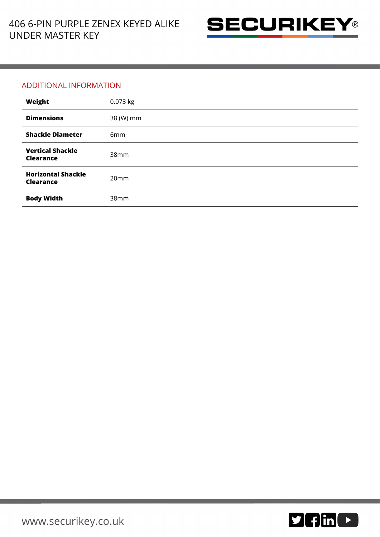

## ADDITIONAL INFORMATION

| Weight                                        | 0.073 kg        |
|-----------------------------------------------|-----------------|
| <b>Dimensions</b>                             | 38 (W) mm       |
| <b>Shackle Diameter</b>                       | 6 <sub>mm</sub> |
| <b>Vertical Shackle</b><br><b>Clearance</b>   | 38mm            |
| <b>Horizontal Shackle</b><br><b>Clearance</b> | 20mm            |
| <b>Body Width</b>                             | 38mm            |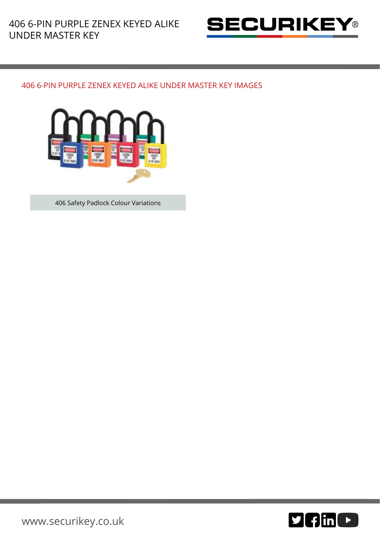

## 406 6-PIN PURPLE ZENEX KEYED ALIKE UNDER MASTER KEY IMAGES



406 Safety Padlock Colour Variations